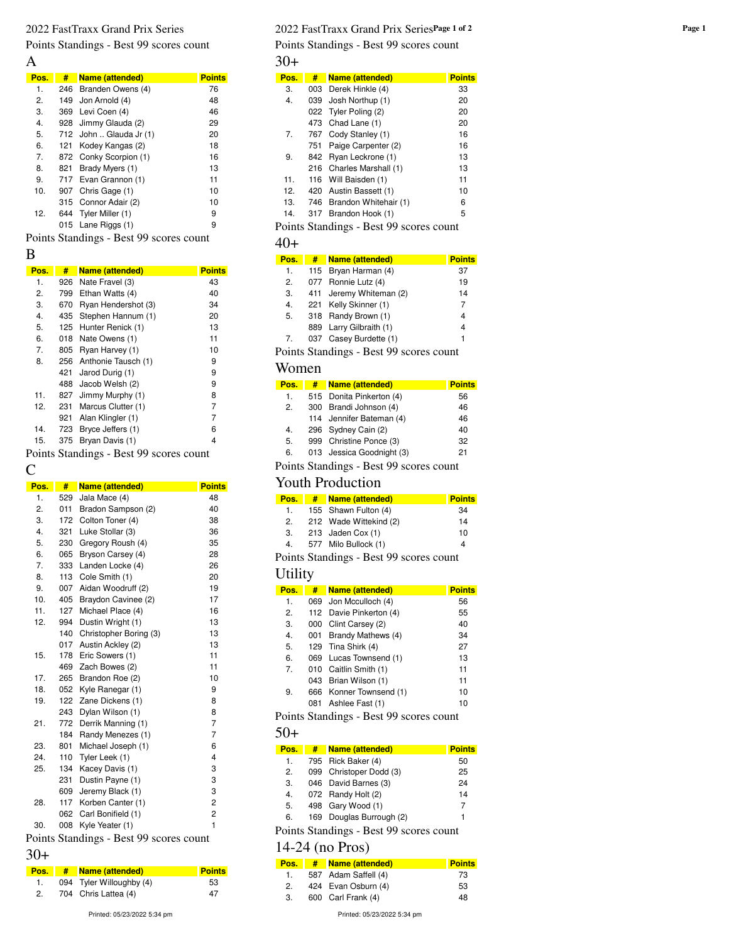Points Standings - Best 99 scores count

A

| Pos. | #   | <b>Name (attended)</b>  | <b>Points</b> |
|------|-----|-------------------------|---------------|
| 1.   | 246 | Branden Owens (4)       | 76            |
| 2.   | 149 | Jon Arnold (4)          | 48            |
| 3.   | 369 | Levi Coen (4)           | 46            |
| 4.   | 928 | Jimmy Glauda (2)        | 29            |
| 5.   |     | 712 John  Glauda Jr (1) | 20            |
| 6.   | 121 | Kodey Kangas (2)        | 18            |
| 7.   | 872 | Conky Scorpion (1)      | 16            |
| 8.   | 821 | Brady Myers (1)         | 13            |
| 9.   | 717 | Evan Grannon (1)        | 11            |
| 10.  | 907 | Chris Gage (1)          | 10            |
|      | 315 | Connor Adair (2)        | 10            |
| 12.  | 644 | Tyler Miller (1)        | 9             |
|      | 015 | Lane Riggs (1)          | 9             |

Points Standings - Best 99 scores count

### B

| Pos. | #   | <b>Name (attended)</b> | <b>Points</b> |
|------|-----|------------------------|---------------|
| 1.   | 926 | Nate Fravel (3)        | 43            |
| 2.   | 799 | Ethan Watts (4)        | 40            |
| 3.   | 670 | Ryan Hendershot (3)    | 34            |
| 4.   | 435 | Stephen Hannum (1)     | 20            |
| 5.   | 125 | Hunter Renick (1)      | 13            |
| 6.   | 018 | Nate Owens (1)         | 11            |
| 7.   | 805 | Ryan Harvey (1)        | 10            |
| 8.   | 256 | Anthonie Tausch (1)    | 9             |
|      | 421 | Jarod Durig (1)        | 9             |
|      | 488 | Jacob Welsh (2)        | 9             |
| 11.  | 827 | Jimmy Murphy (1)       | 8             |
| 12.  | 231 | Marcus Clutter (1)     | 7             |
|      | 921 | Alan Klingler (1)      | 7             |
| 14.  | 723 | Bryce Jeffers (1)      | 6             |
| 15.  | 375 | Bryan Davis (1)        | 4             |

Points Standings - Best 99 scores count

## C

| Pos. | #   | Name (attended)        | <b>Points</b>           |
|------|-----|------------------------|-------------------------|
| 1.   | 529 | Jala Mace (4)          | 48                      |
| 2.   | 011 | Bradon Sampson (2)     | 40                      |
| 3.   | 172 | Colton Toner (4)       | 38                      |
| 4.   | 321 | Luke Stollar (3)       | 36                      |
| 5.   | 230 | Gregory Roush (4)      | 35                      |
| 6.   | 065 | Bryson Carsey (4)      | 28                      |
| 7.   | 333 | Landen Locke (4)       | 26                      |
| 8.   | 113 | Cole Smith (1)         | 20                      |
| 9.   | 007 | Aidan Woodruff (2)     | 19                      |
| 10.  | 405 | Braydon Cavinee (2)    | 17                      |
| 11.  | 127 | Michael Place (4)      | 16                      |
| 12.  | 994 | Dustin Wright (1)      | 13                      |
|      | 140 | Christopher Boring (3) | 13                      |
|      | 017 | Austin Ackley (2)      | 13                      |
| 15.  | 178 | Eric Sowers (1)        | 11                      |
|      | 469 | Zach Bowes (2)         | 11                      |
| 17.  | 265 | Brandon Roe (2)        | 10                      |
| 18.  | 052 | Kyle Ranegar (1)       | 9                       |
| 19.  | 122 | Zane Dickens (1)       | 8                       |
|      | 243 | Dylan Wilson (1)       | 8                       |
| 21.  | 772 | Derrik Manning (1)     | 7                       |
|      | 184 | Randy Menezes (1)      | 7                       |
| 23.  | 801 | Michael Joseph (1)     | 6                       |
| 24.  | 110 | Tyler Leek (1)         | 4                       |
| 25.  | 134 | Kacey Davis (1)        | 3                       |
|      | 231 | Dustin Payne (1)       | 3                       |
|      | 609 | Jeremy Black (1)       | 3                       |
| 28.  | 117 | Korben Canter (1)      | 2                       |
|      | 062 | Carl Bonifield (1)     | $\overline{\mathbf{c}}$ |
| 30.  | 008 | Kyle Yeater (1)        | 1                       |

Points Standings - Best 99 scores count

#### 30+

| Pos. | # Name (attended)        | <b>Points</b> |
|------|--------------------------|---------------|
|      | 094 Tyler Willoughby (4) | 53            |
|      | 704 Chris Lattea (4)     | 47            |

### 2022 FastTraxx Grand Prix Series **Page 1 of 2** 2022 FastTraxx Grand Prix Series **Page 1 of 2** Points Standings - Best 99 scores count

30+

| Pos. | #   | <b>Name (attended)</b>    | <b>Points</b> |
|------|-----|---------------------------|---------------|
| 3.   | 003 | Derek Hinkle (4)          | 33            |
| 4.   | 039 | Josh Northup (1)          | 20            |
|      |     | 022 Tyler Poling (2)      | 20            |
|      |     | 473 Chad Lane (1)         | 20            |
| 7.   |     | 767 Cody Stanley (1)      | 16            |
|      | 751 | Paige Carpenter (2)       | 16            |
| 9.   |     | 842 Ryan Leckrone (1)     | 13            |
|      |     | 216 Charles Marshall (1)  | 13            |
| 11.  |     | 116 Will Baisden (1)      | 11            |
| 12.  | 420 | Austin Bassett (1)        | 10            |
| 13.  |     | 746 Brandon Whitehair (1) | 6             |
| 14.  | 317 | Brandon Hook (1)          | 5             |

Points Standings - Best 99 scores count

## 40+

| Pos. | # | <b>Name (attended)</b>                  | <b>Points</b> |
|------|---|-----------------------------------------|---------------|
| 1.   |   | 115 Bryan Harman (4)                    | 37            |
| 2.   |   | 077 Ronnie Lutz (4)                     | 19            |
| 3.   |   | 411 Jeremy Whiteman (2)                 | 14            |
| 4.   |   | 221 Kelly Skinner (1)                   | 7             |
| 5.   |   | 318 Randy Brown (1)                     | 4             |
|      |   | 889 Larry Gilbraith (1)                 | 4             |
| 7.   |   | 037 Casey Burdette (1)                  | 1             |
|      |   | Points Standings - Best 99 scores count |               |

## Women

| Pos. | # | Name (attended)           | <b>Points</b> |
|------|---|---------------------------|---------------|
| 1.   |   | 515 Donita Pinkerton (4)  | 56            |
| 2.   |   | 300 Brandi Johnson (4)    | 46            |
|      |   | 114 Jennifer Bateman (4)  | 46            |
| 4.   |   | 296 Sydney Cain (2)       | 40            |
| 5.   |   | 999 Christine Ponce (3)   | 32            |
| 6.   |   | 013 Jessica Goodnight (3) | 21            |

Points Standings - Best 99 scores count

## Youth Production

| Pos. | # Name (attended)      | <b>Points</b> |
|------|------------------------|---------------|
| 1.   | 155 Shawn Fulton (4)   | 34            |
| 2.   | 212 Wade Wittekind (2) | 14            |
| 3.   | 213 Jaden Cox (1)      | 10            |
| 4.   | 577 Milo Bullock (1)   | Δ             |

Points Standings - Best 99 scores count

## Utility

| Pos. | #   | Name (attended)         | <b>Points</b> |
|------|-----|-------------------------|---------------|
| 1.   |     | 069 Jon Mcculloch (4)   | 56            |
| 2.   |     | 112 Davie Pinkerton (4) | 55            |
| 3.   | 000 | Clint Carsey (2)        | 40            |
| 4.   | 001 | Brandy Mathews (4)      | 34            |
| 5.   |     | 129 Tina Shirk (4)      | 27            |
| 6.   |     | 069 Lucas Townsend (1)  | 13            |
| 7.   |     | 010 Caitlin Smith (1)   | 11            |
|      | 043 | Brian Wilson (1)        | 11            |
| 9.   |     | 666 Konner Townsend (1) | 10            |
|      | 081 | Ashlee Fast (1)         | 10            |

Points Standings - Best 99 scores count

### 50+

| Pos. | # | Name (attended)          | <b>Points</b> |
|------|---|--------------------------|---------------|
| 1.   |   | 795 Rick Baker (4)       | 50            |
| 2.   |   | 099 Christoper Dodd (3)  | 25            |
| 3.   |   | 046 David Barnes (3)     | 24            |
| 4.   |   | 072 Randy Holt (2)       | 14            |
| 5.   |   | 498 Gary Wood (1)        | 7             |
| 6.   |   | 169 Douglas Burrough (2) | 1             |

Points Standings - Best 99 scores count

# 14-24 (no Pros)

| Pos. | # Name (attended)    | <b>Points</b> |
|------|----------------------|---------------|
| 1.   | 587 Adam Saffell (4) | 73            |
| 2.   | 424 Evan Osburn (4)  | 53            |
| 3.   | 600 Carl Frank (4)   | 48            |